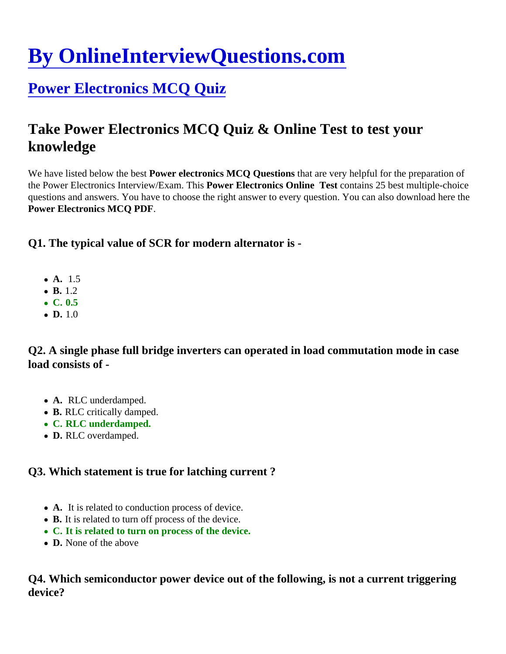# [By OnlineInterviewQuestions.com](https://www.onlineinterviewquestions.com/)

# [Power Electronics MCQ Quiz](https://www.onlineinterviewquestions.com/power-electronics-mcq/)

# Take Power Electronics MCQ Quiz & Online Test to test your knowledge

We have listed below the best Wer electronics MCQ Questions that are very helpful for the preparation of the Power Electronics Interview/Exam. This wer Electronics Online Test contains 25 best multiple-choice questions and answers. You have to choose the right answer to every question. You can also download here Power Electronics MCQ PDF.

Q1. The typical value of SCR for modern alternator is -

- A. 1.5
- $-B. 1.2$
- $\bullet$  C. 0.5
- $\bullet$  D. 1.0

Q2. A single phase full bridge inverters can operated in load commutation mode in case load consists of -

- A. RLC underdamped.
- B. RLC critically damped.
- C. RLC underdamped.
- D. RLC overdamped.

Q3. Which statement is true for latching current ?

- A. It is related to conduction process of device.
- B. It is related to turn off process of the device.
- C. It is related to turn on process of the device.
- D. None of the above

Q4. Which semiconductor power device out of the following, is not a current triggering device?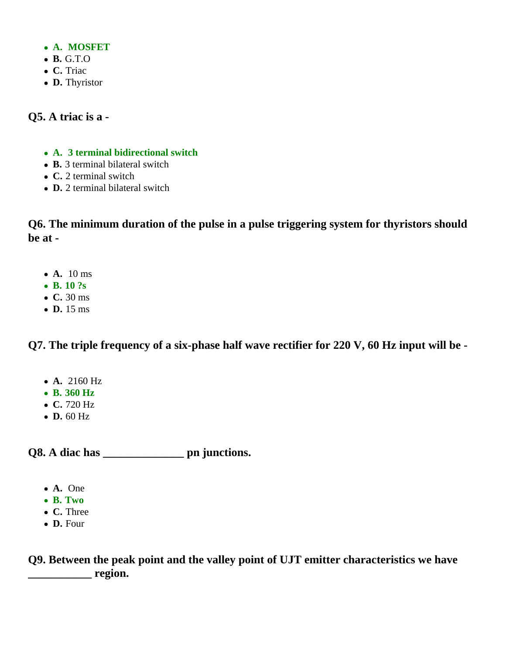- **A. MOSFET**
- **B.** G.T.O
- **C.** Triac
- **D.** Thyristor

#### **Q5. A triac is a -**

- **A. 3 terminal bidirectional switch**
- **B.** 3 terminal bilateral switch
- **C.** 2 terminal switch
- **D.** 2 terminal bilateral switch

**Q6. The minimum duration of the pulse in a pulse triggering system for thyristors should be at -**

- **A.** 10 ms
- **B. 10 ?s**
- **C.** 30 ms
- **D.** 15 ms

**Q7. The triple frequency of a six-phase half wave rectifier for 220 V, 60 Hz input will be -**

- **A.** 2160 Hz
- **B. 360 Hz**
- **C.** 720 Hz
- **D.** 60 Hz

**Q8. A diac has \_\_\_\_\_\_\_\_\_\_\_\_\_\_ pn junctions.**

- **A.** One
- **B. Two**
- **C.** Three
- **D.** Four

**Q9. Between the peak point and the valley point of UJT emitter characteristics we have \_\_\_\_\_\_\_\_\_\_\_ region.**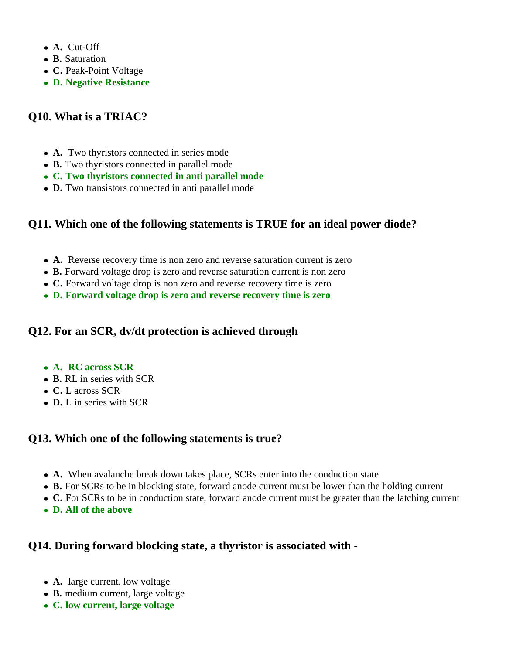- **A.** Cut-Off
- **B.** Saturation
- **C.** Peak-Point Voltage
- **D. Negative Resistance**

### **Q10. What is a TRIAC?**

- **A.** Two thyristors connected in series mode
- **B.** Two thyristors connected in parallel mode
- **C. Two thyristors connected in anti parallel mode**
- **D.** Two transistors connected in anti parallel mode

# **Q11. Which one of the following statements is TRUE for an ideal power diode?**

- **A.** Reverse recovery time is non zero and reverse saturation current is zero
- **B.** Forward voltage drop is zero and reverse saturation current is non zero
- **C.** Forward voltage drop is non zero and reverse recovery time is zero
- **D. Forward voltage drop is zero and reverse recovery time is zero**

# **Q12. For an SCR, dv/dt protection is achieved through**

- **A. RC across SCR**
- **B.** RL in series with SCR
- **C.** L across SCR
- **D.** L in series with SCR

#### **Q13. Which one of the following statements is true?**

- **A.** When avalanche break down takes place, SCRs enter into the conduction state
- **B.** For SCRs to be in blocking state, forward anode current must be lower than the holding current
- **C.** For SCRs to be in conduction state, forward anode current must be greater than the latching current
- **D. All of the above**

# **Q14. During forward blocking state, a thyristor is associated with -**

- **A.** large current, low voltage
- **B.** medium current, large voltage
- **C. low current, large voltage**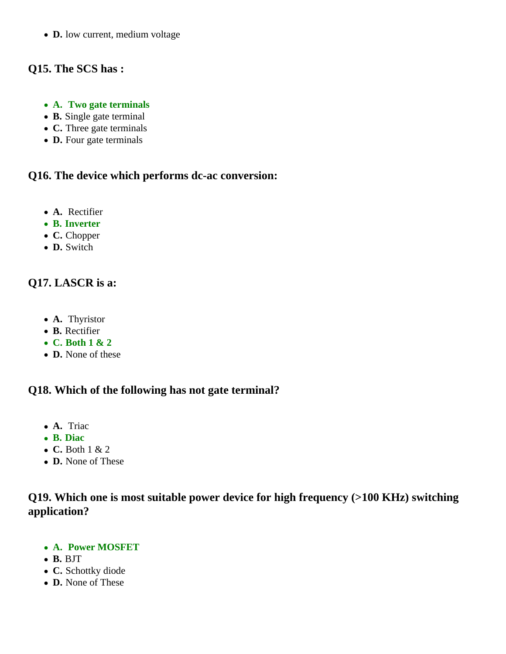**D.** low current, medium voltage

# **Q15. The SCS has :**

- **A. Two gate terminals**
- **B.** Single gate terminal
- **C.** Three gate terminals
- **D.** Four gate terminals

#### **Q16. The device which performs dc-ac conversion:**

- **A.** Rectifier
- **B. Inverter**
- **C.** Chopper
- **D.** Switch

# **Q17. LASCR is a:**

- **A.** Thyristor
- **B.** Rectifier
- **C. Both 1 & 2**
- **D.** None of these

#### **Q18. Which of the following has not gate terminal?**

- **A.** Triac
- **B. Diac**
- **C.** Both 1 & 2
- **D.** None of These

# **Q19. Which one is most suitable power device for high frequency (>100 KHz) switching application?**

- **A. Power MOSFET**
- **B.** BJT
- **C.** Schottky diode
- **D.** None of These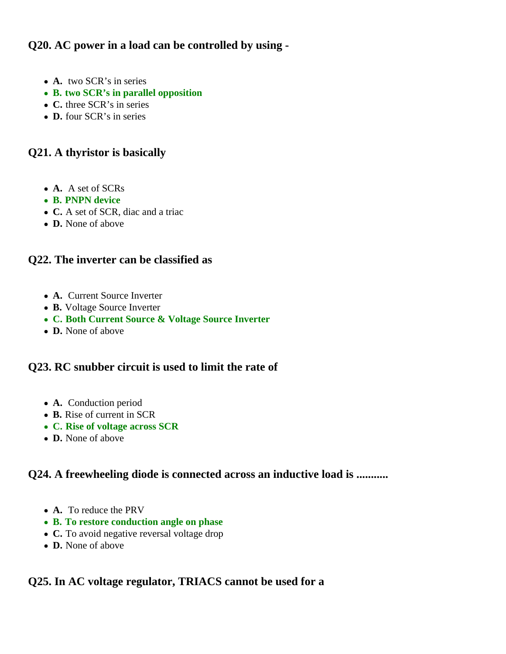### **Q20. AC power in a load can be controlled by using -**

- **A.** two SCR's in series
- **B. two SCR's in parallel opposition**
- **C.** three SCR's in series
- **D.** four SCR's in series

#### **Q21. A thyristor is basically**

- **A.** A set of SCRs
- **B. PNPN device**
- **C.** A set of SCR, diac and a triac
- **D.** None of above

#### **Q22. The inverter can be classified as**

- **A.** Current Source Inverter
- **B.** Voltage Source Inverter
- **C. Both Current Source & Voltage Source Inverter**
- **D.** None of above

#### **Q23. RC snubber circuit is used to limit the rate of**

- **A.** Conduction period
- **B.** Rise of current in SCR
- **C. Rise of voltage across SCR**
- **D.** None of above

### **Q24. A freewheeling diode is connected across an inductive load is ...........**

- **A.** To reduce the PRV
- **B. To restore conduction angle on phase**
- **C.** To avoid negative reversal voltage drop
- **D.** None of above

#### **Q25. In AC voltage regulator, TRIACS cannot be used for a**